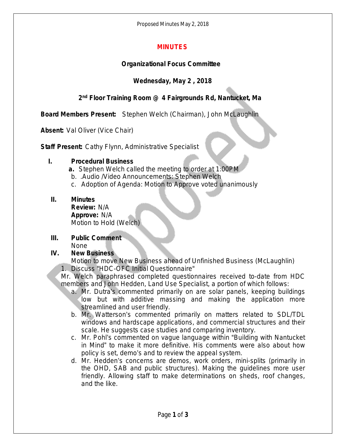Proposed Minutes May 2, 2018

## **MINUTES**

## **Organizational Focus Committee**

## **Wednesday, May 2 , 2018**

## **2 nd Floor Training Room @ 4 Fairgrounds Rd, Nantucket, Ma**

**Board Members Present:** Stephen Welch (Chairman), John McLaughlin

**Absent:** Val Oliver (Vice Chair)

**Staff Present:** Cathy Flynn, Administrative Specialist

#### **I. Procedural Business**

- **a.** Stephen Welch called the meeting to order at 1:00PM
- b. .Audio /Video Announcements: Stephen Welch
- c. Adoption of Agenda: Motion to Approve voted unanimously

## **II. Minutes**

**Review:** N/A **Approve:** N/A Motion to Hold (Welch)

#### **III. Public Comment** None

# **IV. New Business**

Motion to move New Business ahead of Unfinished Business (McLaughlin) 1. Discuss "HDC-OFC Initial Questionnaire"

- Mr. Welch paraphrased completed questionnaires received to-date from HDC members and John Hedden, Land Use Specialist, a portion of which follows:
	- a. Mr. Dutra's commented primarily on are solar panels, keeping buildings low but with additive massing and making the application more streamlined and user friendly.
	- b. Mr. Watterson's commented primarily on matters related to SDL/TDL windows and hardscape applications, and commercial structures and their scale. He suggests case studies and comparing inventory.
	- c. Mr. Pohl's commented on vague language within "Building with Nantucket in Mind" to make it more definitive. His comments were also about how policy is set, demo's and to review the appeal system.
	- d. Mr. Hedden's concerns are demos, work orders, mini-splits (primarily in the OHD, SAB and public structures). Making the guidelines more user friendly. Allowing staff to make determinations on sheds, roof changes, and the like.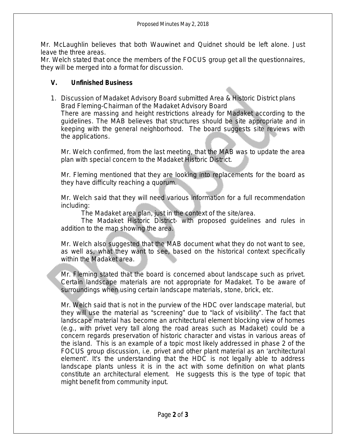Mr. McLaughlin believes that both Wauwinet and Quidnet should be left alone. Just leave the three areas.

Mr. Welch stated that once the members of the FOCUS group get all the questionnaires, they will be merged into a format for discussion.

### **V. Unfinished Business**

1. Discussion of Madaket Advisory Board submitted Area & Historic District plans Brad Fleming-Chairman of the Madaket Advisory Board

There are massing and height restrictions already for Madaket according to the guidelines. The MAB believes that structures should be site appropriate and in keeping with the general neighborhood. The board suggests site reviews with the applications.

Mr. Welch confirmed, from the last meeting, that the MAB was to update the area plan with special concern to the Madaket Historic District.

Mr. Fleming mentioned that they are looking into replacements for the board as they have difficulty reaching a quorum.

Mr. Welch said that they will need various information for a full recommendation including:

The Madaket area plan, just in the context of the site/area.

The Madaket Historic District- with proposed guidelines and rules in addition to the map showing the area.

Mr. Welch also suggested that the MAB document what they do not want to see, as well as, what they want to see, based on the historical context specifically within the Madaket area.

Mr. Fleming stated that the board is concerned about landscape such as privet. Certain landscape materials are not appropriate for Madaket. To be aware of surroundings when using certain landscape materials, stone, brick, etc.

Mr. Welch said that is not in the purview of the HDC over landscape material, but they will use the material as "screening" due to "lack of visibility". The fact that landscape material has become an architectural element blocking view of homes (e.g., with privet very tall along the road areas such as Madaket) could be a concern regards preservation of historic character and vistas in various areas of the island. This is an example of a topic most likely addressed in phase 2 of the FOCUS group discussion, i.e. privet and other plant material as an 'architectural element'. It's the understanding that the HDC is not legally able to address landscape plants unless it is in the act with some definition on what plants constitute an architectural element. He suggests this is the type of topic that might benefit from community input.